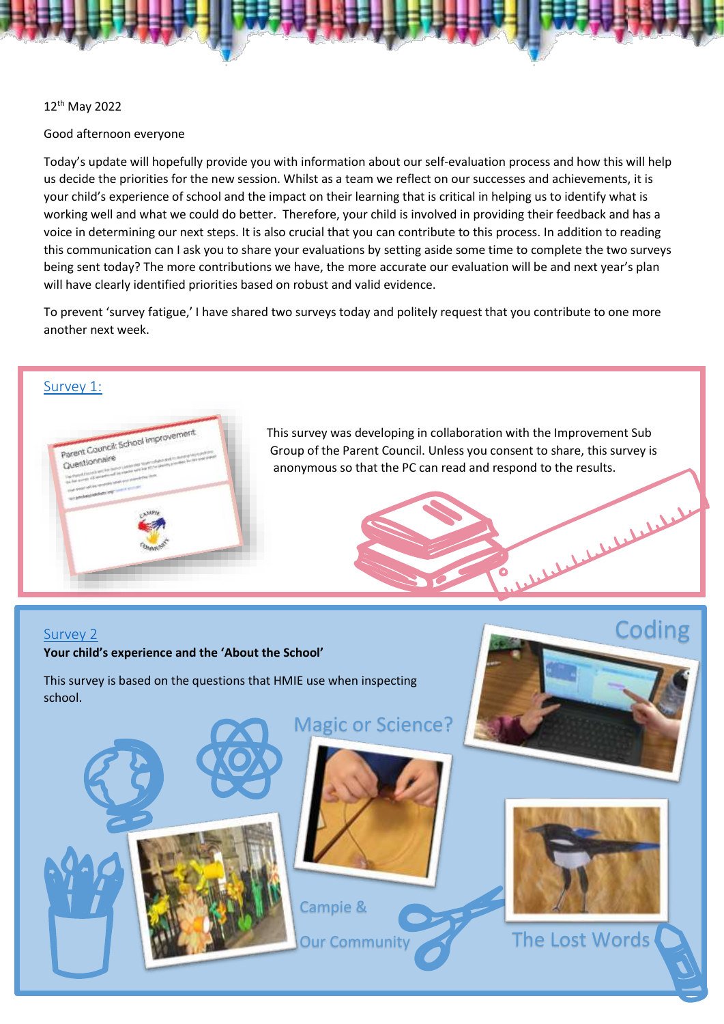### 12th May 2022

### Good afternoon everyone

Today's update will hopefully provide you with information about our self-evaluation process and how this will help us decide the priorities for the new session. Whilst as a team we reflect on our successes and achievements, it is your child's experience of school and the impact on their learning that is critical in helping us to identify what is working well and what we could do better. Therefore, your child is involved in providing their feedback and has a voice in determining our next steps. It is also crucial that you can contribute to this process. In addition to reading this communication can I ask you to share your evaluations by setting aside some time to complete the two surveys being sent today? The more contributions we have, the more accurate our evaluation will be and next year's plan will have clearly identified priorities based on robust and valid evidence.

To prevent 'survey fatigue,' I have shared two surveys today and politely request that you contribute to one more another next week.

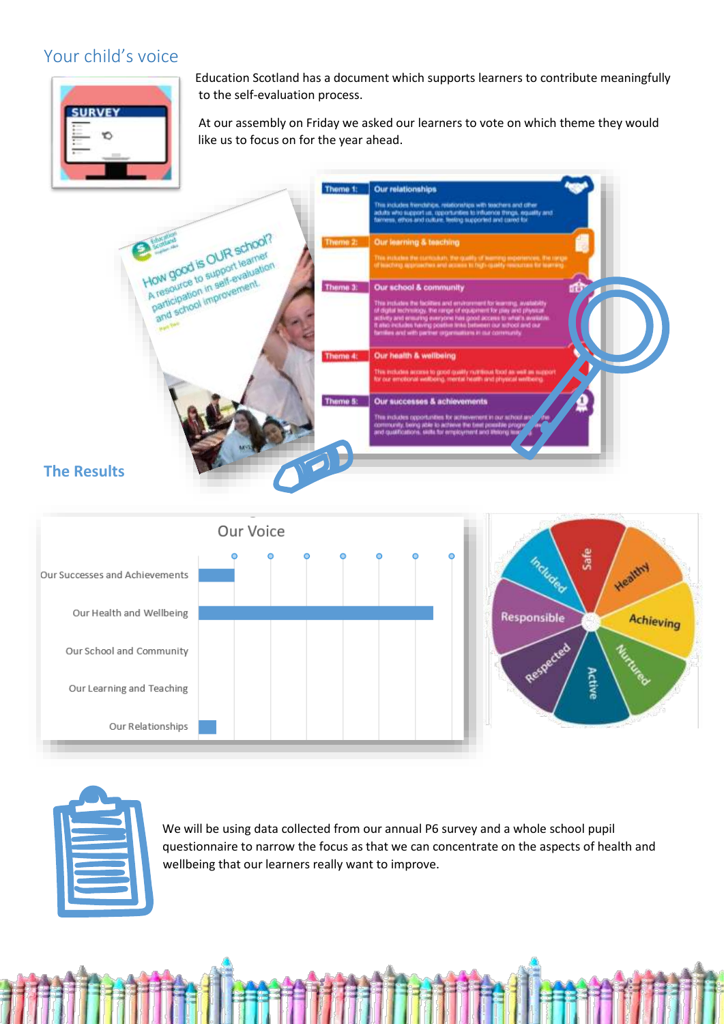# Your child's voice



Education Scotland has a document which supports learners to contribute meaningfully to the self-evaluation process.

At our assembly on Friday we asked our learners to vote on which theme they would like us to focus on for the year ahead.







We will be using data collected from our annual P6 survey and a whole school pupil questionnaire to narrow the focus as that we can concentrate on the aspects of health and wellbeing that our learners really want to improve.